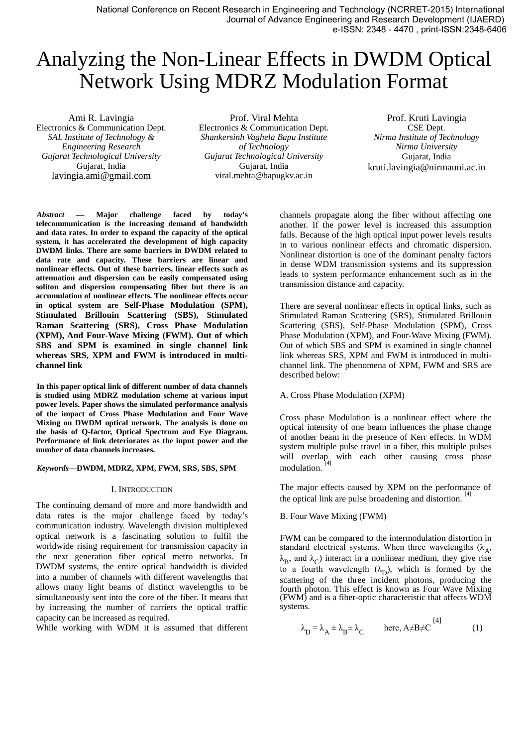National Conference on Recent Research in Engineering and Technology (NCRRET-2015) International Journal of Advance Engineering and Research Development (IJAERD) e-ISSN: 2348 - 4470 , print-ISSN:2348-6406

# Analyzing the Non-Linear Effects in DWDM Optical Network Using MDRZ Modulation Format

Ami R. Lavingia Electronics & Communication Dept. *SAL Institute of Technology & Engineering Research Gujarat Technological University* Gujarat, India lavingia.ami@gmail.com

Prof. Viral Mehta Electronics & Communication Dept. *Shankersinh Vaghela Bapu Institute of Technology Gujarat Technological University* Gujarat, India viral.mehta@bapugkv.ac.in

Prof. Kruti Lavingia CSE Dept. *Nirma Institute of Technology Nirma University* Gujarat, India kruti.lavingia@nirmauni.ac.in

*Abstract* **— Major challenge faced by today's telecommunication is the increasing demand of bandwidth and data rates. In order to expand the capacity of the optical system, it has accelerated the development of high capacity DWDM links. There are some barriers in DWDM related to data rate and capacity. These barriers are linear and nonlinear effects. Out of these barriers, linear effects such as attenuation and dispersion can be easily compensated using soliton and dispersion compensating fiber but there is an accumulation of nonlinear effects. The nonlinear effects occur in optical system are Self-Phase Modulation (SPM), Stimulated Brillouin Scattering (SBS), Stimulated Raman Scattering (SRS), Cross Phase Modulation (XPM), And Four-Wave Mixing (FWM). Out of which SBS and SPM is examined in single channel link whereas SRS, XPM and FWM is introduced in multichannel link**

**In this paper optical link of different number of data channels is studied using MDRZ modulation scheme at various input power levels. Paper shows the simulated performance analysis of the impact of Cross Phase Modulation and Four Wave Mixing on DWDM optical network. The analysis is done on the basis of Q-factor, Optical Spectrum and Eye Diagram. Performance of link deteriorates as the input power and the number of data channels increases.**

#### *Keywords***—DWDM, MDRZ, XPM, FWM, SRS, SBS, SPM**

# I. INTRODUCTION

The continuing demand of more and more bandwidth and data rates is the major challenge faced by today's communication industry. Wavelength division multiplexed optical network is a fascinating solution to fulfil the worldwide rising requirement for transmission capacity in the next generation fiber optical metro networks. In DWDM systems, the entire optical bandwidth is divided into a number of channels with different wavelengths that allows many light beams of distinct wavelengths to be simultaneously sent into the core of the fiber. It means that by increasing the number of carriers the optical traffic capacity can be increased as required.

While working with WDM it is assumed that different

channels propagate along the fiber without affecting one another. If the power level is increased this assumption fails. Because of the high optical input power levels results in to various nonlinear effects and chromatic dispersion. Nonlinear distortion is one of the dominant penalty factors in dense WDM transmission systems and its suppression leads to system performance enhancement such as in the transmission distance and capacity.

There are several nonlinear effects in optical links, such as Stimulated Raman Scattering (SRS), Stimulated Brillouin Scattering (SBS), Self-Phase Modulation (SPM), Cross Phase Modulation (XPM), and Four-Wave Mixing (FWM). Out of which SBS and SPM is examined in single channel link whereas SRS, XPM and FWM is introduced in multichannel link. The phenomena of XPM, FWM and SRS are described below:

# A. Cross Phase Modulation (XPM)

Cross phase Modulation is a nonlinear effect where the optical intensity of one beam influences the phase change of another beam in the presence of Kerr effects. In WDM system multiple pulse travel in a fiber, this multiple pulses will overlap with each other causing cross phase modulation.

The major effects caused by XPM on the performance of the optical link are pulse broadening and distortion. [4]

# B. Four Wave Mixing (FWM)

FWM can be compared to the intermodulation distortion in standard electrical systems. When three wavelengths  $(\lambda_A, \lambda_B)$  $\lambda_B$ , and  $\lambda_C$ ) interact in a nonlinear medium, they give rise to a fourth wavelength  $(\lambda_D)$ , which is formed by the scattering of the three incident photons, producing the fourth photon. This effect is known as Four Wave Mixing (FWM) and is a fiber-optic characteristic that affects WDM systems.

$$
\lambda_{\mathbf{D}} = \lambda_{\mathbf{A}} \pm \lambda_{\mathbf{B}} \pm \lambda_{\mathbf{C}} \quad \text{here, } \mathbf{A} \neq \mathbf{B} \neq \mathbf{C}^{[4]} \tag{1}
$$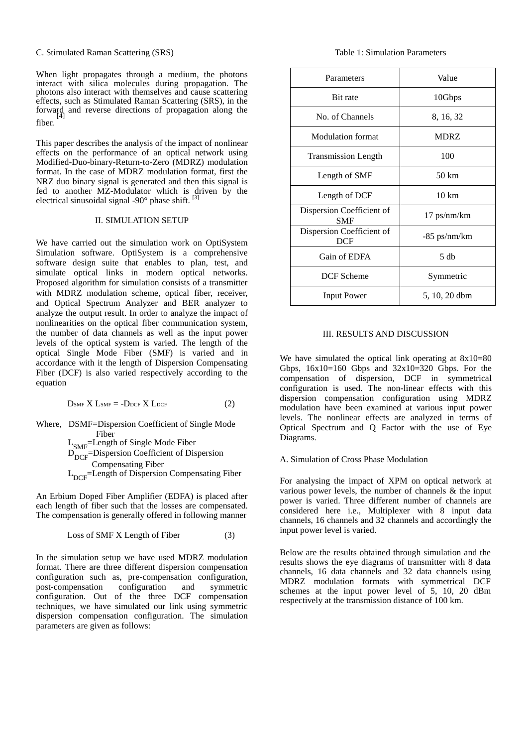C. Stimulated Raman Scattering (SRS)

When light propagates through a medium, the photons interact with silica molecules during propagation. The photons also interact with themselves and cause scattering effects, such as Stimulated Raman Scattering (SRS), in the forward and reverse directions of propagation along the [4] fiber.

This paper describes the analysis of the impact of nonlinear effects on the performance of an optical network using Modified-Duo-binary-Return-to-Zero (MDRZ) modulation format. In the case of MDRZ modulation format, first the NRZ duo binary signal is generated and then this signal is fed to another MZ-Modulator which is driven by the electrical sinusoidal signal -90° phase shift. [3]

# II. SIMULATION SETUP

We have carried out the simulation work on OptiSystem Simulation software. OptiSystem is a comprehensive software design suite that enables to plan, test, and simulate optical links in modern optical networks. Proposed algorithm for simulation consists of a transmitter with MDRZ modulation scheme, optical fiber, receiver, and Optical Spectrum Analyzer and BER analyzer to analyze the output result. In order to analyze the impact of nonlinearities on the optical fiber communication system, the number of data channels as well as the input power levels of the optical system is varied. The length of the optical Single Mode Fiber (SMF) is varied and in accordance with it the length of Dispersion Compensating Fiber (DCF) is also varied respectively according to the equation

$$
D_{\text{SMF}} X L_{\text{SMF}} = -D_{\text{DCF}} X L_{\text{DCF}} \tag{2}
$$

Where, DSMF=Dispersion Coefficient of Single Mode Fiber L<sub>SMF</sub>=Length of Single Mode Fiber  $D_{\text{DCF}}^{\text{SWT}}$ =Dispersion Coefficient of Dispersion Compensating Fiber  $L_{DCF}$ =Length of Dispersion Compensating Fiber

An Erbium Doped Fiber Amplifier (EDFA) is placed after each length of fiber such that the losses are compensated. The compensation is generally offered in following manner

$$
Loss of SMF X Length of Fiber \t(3)
$$

In the simulation setup we have used MDRZ modulation format. There are three different dispersion compensation configuration such as, pre-compensation configuration, post-compensation configuration and symmetric configuration. Out of the three DCF compensation techniques, we have simulated our link using symmetric dispersion compensation configuration. The simulation parameters are given as follows:

Table 1: Simulation Parameters

| Parameters                              | Value           |
|-----------------------------------------|-----------------|
| <b>Bit rate</b>                         | 10Gbps          |
| No. of Channels                         | 8, 16, 32       |
| <b>Modulation format</b>                | <b>MDRZ</b>     |
| <b>Transmission Length</b>              | 100             |
| Length of SMF                           | 50 km           |
| Length of DCF                           | $10 \text{ km}$ |
| Dispersion Coefficient of<br><b>SMF</b> | 17 ps/nm/km     |
| Dispersion Coefficient of<br><b>DCF</b> | -85 ps/nm/km    |
| Gain of EDFA                            | 5 <sub>dh</sub> |
| <b>DCF</b> Scheme                       | Symmetric       |
| <b>Input Power</b>                      | 5, 10, 20 dbm   |

# III. RESULTS AND DISCUSSION

We have simulated the optical link operating at  $8x10=80$ Gbps,  $16x10=160$  Gbps and  $32x10=320$  Gbps. For the compensation of dispersion, DCF in symmetrical configuration is used. The non-linear effects with this dispersion compensation configuration using MDRZ modulation have been examined at various input power levels. The nonlinear effects are analyzed in terms of Optical Spectrum and Q Factor with the use of Eye Diagrams.

# A. Simulation of Cross Phase Modulation

For analysing the impact of XPM on optical network at various power levels, the number of channels & the input power is varied. Three different number of channels are considered here i.e., Multiplexer with 8 input data channels, 16 channels and 32 channels and accordingly the input power level is varied.

Below are the results obtained through simulation and the results shows the eye diagrams of transmitter with 8 data channels, 16 data channels and 32 data channels using MDRZ modulation formats with symmetrical DCF schemes at the input power level of 5, 10, 20 dBm respectively at the transmission distance of 100 km.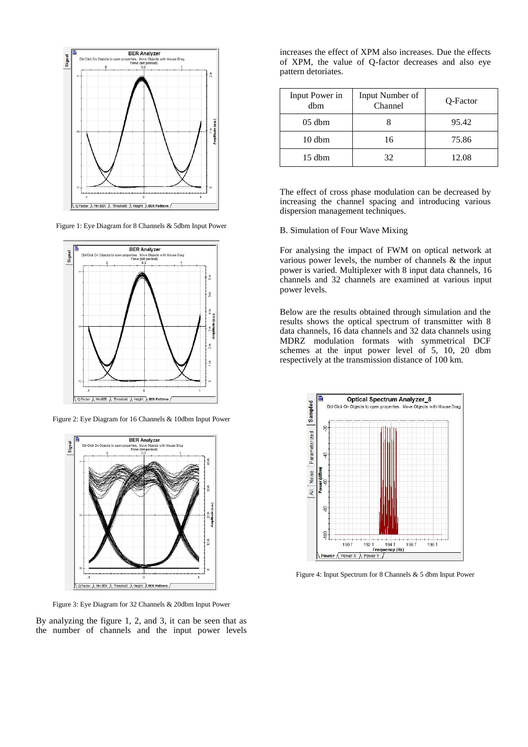

Figure 1: Eye Diagram for 8 Channels & 5dbm Input Power



Figure 2: Eye Diagram for 16 Channels & 10dbm Input Power



Figure 3: Eye Diagram for 32 Channels & 20dbm Input Power

By analyzing the figure 1, 2, and 3, it can be seen that as the number of channels and the input power levels

increases the effect of XPM also increases. Due the effects of XPM, the value of Q-factor decreases and also eye pattern detoriates.

| Input Power in<br>dbm | Input Number of<br>Channel | Q-Factor |
|-----------------------|----------------------------|----------|
| $05$ dbm              |                            | 95.42    |
| $10 \text{ dbm}$      | 16                         | 75.86    |
| $15$ dbm              | 32                         | 12.08    |

The effect of cross phase modulation can be decreased by increasing the channel spacing and introducing various dispersion management techniques.

## B. Simulation of Four Wave Mixing

For analysing the impact of FWM on optical network at various power levels, the number of channels & the input power is varied. Multiplexer with 8 input data channels, 16 channels and 32 channels are examined at various input power levels.

Below are the results obtained through simulation and the results shows the optical spectrum of transmitter with 8 data channels, 16 data channels and 32 data channels using MDRZ modulation formats with symmetrical DCF schemes at the input power level of 5, 10, 20 dbm respectively at the transmission distance of 100 km.



Figure 4: Input Spectrum for 8 Channels & 5 dbm Input Power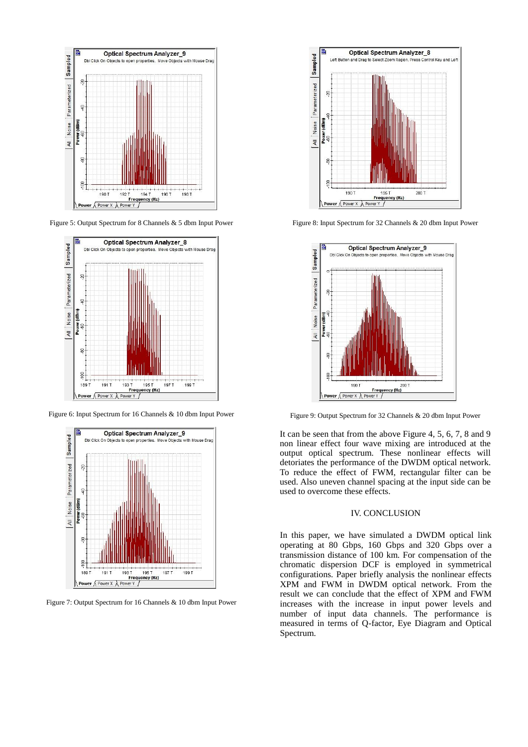

Figure 5: Output Spectrum for 8 Channels & 5 dbm Input Power



Figure 6: Input Spectrum for 16 Channels & 10 dbm Input Power



Figure 7: Output Spectrum for 16 Channels & 10 dbm Input Power



Figure 8: Input Spectrum for 32 Channels & 20 dbm Input Power



Figure 9: Output Spectrum for 32 Channels & 20 dbm Input Power

It can be seen that from the above Figure 4, 5, 6, 7, 8 and 9 non linear effect four wave mixing are introduced at the output optical spectrum. These nonlinear effects will detoriates the performance of the DWDM optical network. To reduce the effect of FWM, rectangular filter can be used. Also uneven channel spacing at the input side can be used to overcome these effects.

## IV. CONCLUSION

In this paper, we have simulated a DWDM optical link operating at 80 Gbps, 160 Gbps and 320 Gbps over a transmission distance of 100 km. For compensation of the chromatic dispersion DCF is employed in symmetrical configurations. Paper briefly analysis the nonlinear effects XPM and FWM in DWDM optical network. From the result we can conclude that the effect of XPM and FWM increases with the increase in input power levels and number of input data channels. The performance is measured in terms of Q-factor, Eye Diagram and Optical Spectrum.